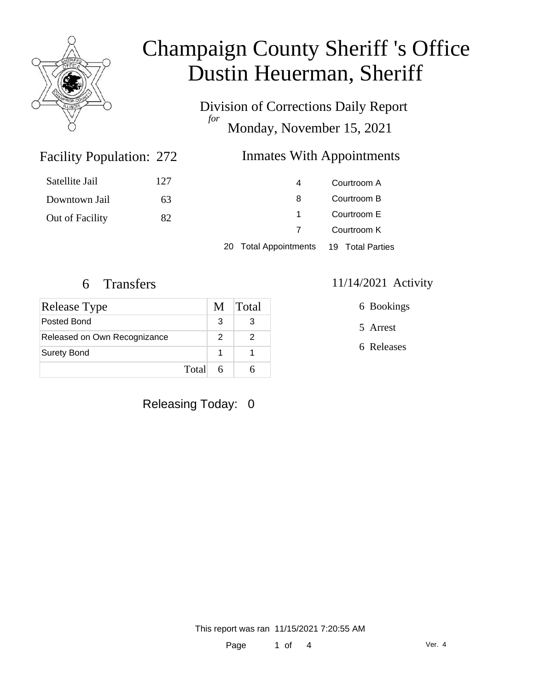

# Champaign County Sheriff 's Office Dustin Heuerman, Sheriff

Division of Corrections Daily Report *for* Monday, November 15, 2021

### Facility Population: 272

### Inmates With Appointments

| Satellite Jail  | 127 | 4 | Courtroom A |
|-----------------|-----|---|-------------|
| Downtown Jail   | 63  | 8 | Courtroom B |
| Out of Facility | 82  |   | Courtroom E |
|                 |     |   | Courtroom K |
|                 |     |   |             |

20 Total Appointments 19 Total Parties

| <b>Release Type</b>          | M | Total |
|------------------------------|---|-------|
| Posted Bond                  | З |       |
| Released on Own Recognizance | 2 |       |
| <b>Surety Bond</b>           |   |       |
| Total                        |   |       |

### 6 Transfers 11/14/2021 Activity

6 Bookings

5 Arrest

6 Releases

Releasing Today: 0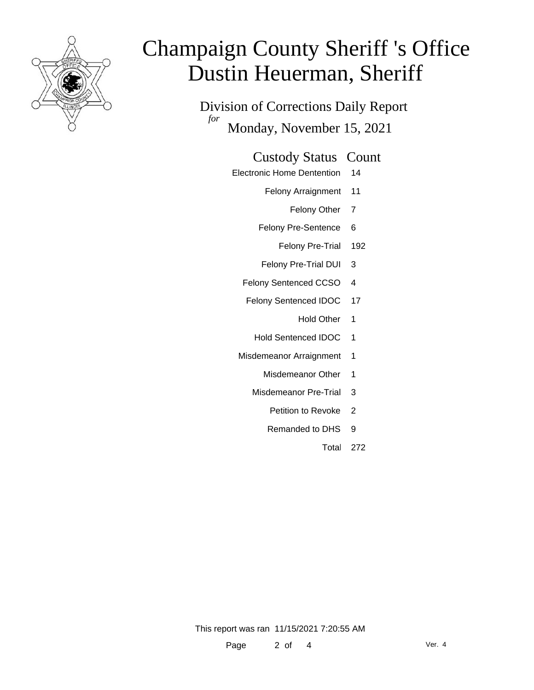

# Champaign County Sheriff 's Office Dustin Heuerman, Sheriff

Division of Corrections Daily Report *for* Monday, November 15, 2021

#### Custody Status Count

- Electronic Home Dentention 14
	- Felony Arraignment 11
		- Felony Other 7
	- Felony Pre-Sentence 6
		- Felony Pre-Trial 192
	- Felony Pre-Trial DUI 3
	- Felony Sentenced CCSO 4
	- Felony Sentenced IDOC 17
		- Hold Other 1
		- Hold Sentenced IDOC 1
	- Misdemeanor Arraignment 1
		- Misdemeanor Other 1
		- Misdemeanor Pre-Trial 3
			- Petition to Revoke 2
			- Remanded to DHS 9
				- Total 272

This report was ran 11/15/2021 7:20:55 AM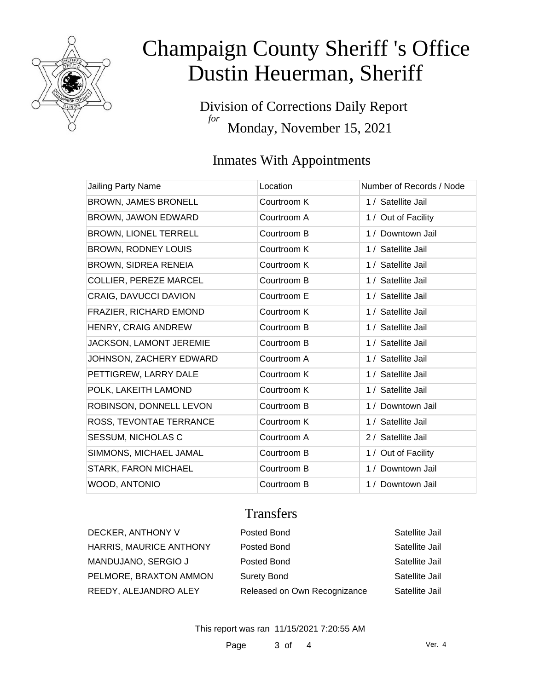

# Champaign County Sheriff 's Office Dustin Heuerman, Sheriff

Division of Corrections Daily Report *for* Monday, November 15, 2021

## Inmates With Appointments

| Jailing Party Name           | Location    | Number of Records / Node |
|------------------------------|-------------|--------------------------|
| <b>BROWN, JAMES BRONELL</b>  | Courtroom K | 1 / Satellite Jail       |
| <b>BROWN, JAWON EDWARD</b>   | Courtroom A | 1 / Out of Facility      |
| <b>BROWN, LIONEL TERRELL</b> | Courtroom B | 1 / Downtown Jail        |
| <b>BROWN, RODNEY LOUIS</b>   | Courtroom K | 1 / Satellite Jail       |
| <b>BROWN, SIDREA RENEIA</b>  | Courtroom K | 1 / Satellite Jail       |
| COLLIER, PEREZE MARCEL       | Courtroom B | 1 / Satellite Jail       |
| CRAIG, DAVUCCI DAVION        | Courtroom E | 1 / Satellite Jail       |
| FRAZIER, RICHARD EMOND       | Courtroom K | 1 / Satellite Jail       |
| HENRY, CRAIG ANDREW          | Courtroom B | 1 / Satellite Jail       |
| JACKSON, LAMONT JEREMIE      | Courtroom B | 1 / Satellite Jail       |
| JOHNSON, ZACHERY EDWARD      | Courtroom A | 1 / Satellite Jail       |
| PETTIGREW, LARRY DALE        | Courtroom K | 1 / Satellite Jail       |
| POLK, LAKEITH LAMOND         | Courtroom K | 1 / Satellite Jail       |
| ROBINSON, DONNELL LEVON      | Courtroom B | 1 / Downtown Jail        |
| ROSS, TEVONTAE TERRANCE      | Courtroom K | 1 / Satellite Jail       |
| SESSUM, NICHOLAS C           | Courtroom A | 2 / Satellite Jail       |
| SIMMONS, MICHAEL JAMAL       | Courtroom B | 1 / Out of Facility      |
| <b>STARK, FARON MICHAEL</b>  | Courtroom B | 1 / Downtown Jail        |
| WOOD, ANTONIO                | Courtroom B | 1 / Downtown Jail        |

### **Transfers**

| DECKER, ANTHONY V       | Posted Bond                  | Satellite Jail |
|-------------------------|------------------------------|----------------|
| HARRIS, MAURICE ANTHONY | Posted Bond                  | Satellite Jail |
| MANDUJANO, SERGIO J     | Posted Bond                  | Satellite Jail |
| PELMORE, BRAXTON AMMON  | <b>Surety Bond</b>           | Satellite Jail |
| REEDY, ALEJANDRO ALEY   | Released on Own Recognizance | Satellite Jail |

This report was ran 11/15/2021 7:20:55 AM